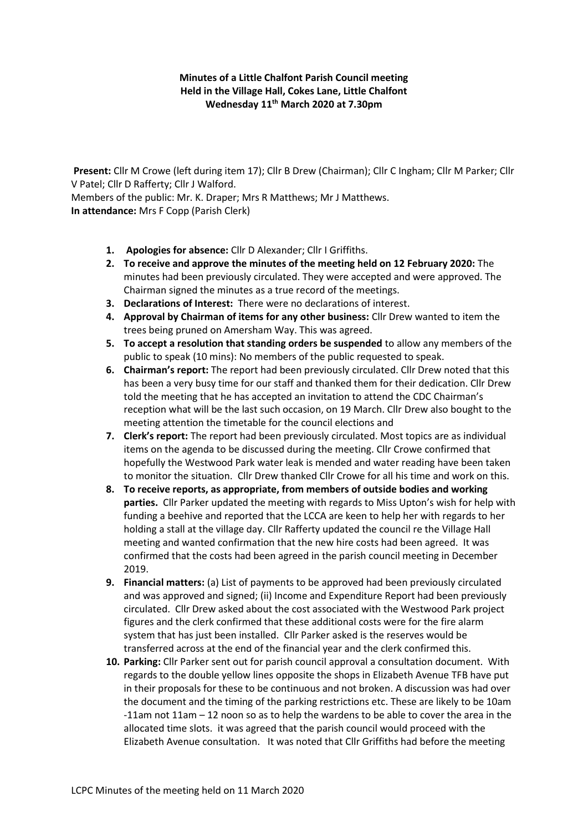**Minutes of a Little Chalfont Parish Council meeting Held in the Village Hall, Cokes Lane, Little Chalfont Wednesday 11th March 2020 at 7.30pm**

**Present:** Cllr M Crowe (left during item 17); Cllr B Drew (Chairman); Cllr C Ingham; Cllr M Parker; Cllr V Patel; Cllr D Rafferty; Cllr J Walford. Members of the public: Mr. K. Draper; Mrs R Matthews; Mr J Matthews.

**In attendance:** Mrs F Copp (Parish Clerk)

- **1. Apologies for absence:** Cllr D Alexander; Cllr I Griffiths.
- **2. To receive and approve the minutes of the meeting held on 12 February 2020:** The minutes had been previously circulated. They were accepted and were approved. The Chairman signed the minutes as a true record of the meetings.
- **3. Declarations of Interest:** There were no declarations of interest.
- **4. Approval by Chairman of items for any other business:** Cllr Drew wanted to item the trees being pruned on Amersham Way. This was agreed.
- **5. To accept a resolution that standing orders be suspended** to allow any members of the public to speak (10 mins): No members of the public requested to speak.
- **6. Chairman's report:** The report had been previously circulated. Cllr Drew noted that this has been a very busy time for our staff and thanked them for their dedication. Cllr Drew told the meeting that he has accepted an invitation to attend the CDC Chairman's reception what will be the last such occasion, on 19 March. Cllr Drew also bought to the meeting attention the timetable for the council elections and
- **7. Clerk's report:** The report had been previously circulated. Most topics are as individual items on the agenda to be discussed during the meeting. Cllr Crowe confirmed that hopefully the Westwood Park water leak is mended and water reading have been taken to monitor the situation. Cllr Drew thanked Cllr Crowe for all his time and work on this.
- **8. To receive reports, as appropriate, from members of outside bodies and working parties.** Cllr Parker updated the meeting with regards to Miss Upton's wish for help with funding a beehive and reported that the LCCA are keen to help her with regards to her holding a stall at the village day. Cllr Rafferty updated the council re the Village Hall meeting and wanted confirmation that the new hire costs had been agreed. It was confirmed that the costs had been agreed in the parish council meeting in December 2019.
- **9. Financial matters:** (a) List of payments to be approved had been previously circulated and was approved and signed; (ii) Income and Expenditure Report had been previously circulated. Cllr Drew asked about the cost associated with the Westwood Park project figures and the clerk confirmed that these additional costs were for the fire alarm system that has just been installed. Cllr Parker asked is the reserves would be transferred across at the end of the financial year and the clerk confirmed this.
- **10. Parking:** Cllr Parker sent out for parish council approval a consultation document. With regards to the double yellow lines opposite the shops in Elizabeth Avenue TFB have put in their proposals for these to be continuous and not broken. A discussion was had over the document and the timing of the parking restrictions etc. These are likely to be 10am -11am not 11am – 12 noon so as to help the wardens to be able to cover the area in the allocated time slots. it was agreed that the parish council would proceed with the Elizabeth Avenue consultation. It was noted that Cllr Griffiths had before the meeting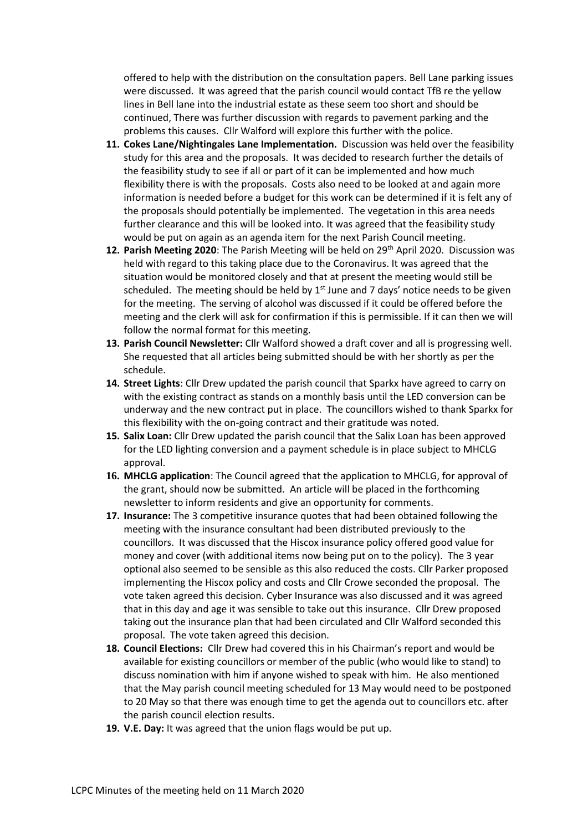offered to help with the distribution on the consultation papers. Bell Lane parking issues were discussed. It was agreed that the parish council would contact TfB re the yellow lines in Bell lane into the industrial estate as these seem too short and should be continued, There was further discussion with regards to pavement parking and the problems this causes. Cllr Walford will explore this further with the police.

- **11. Cokes Lane/Nightingales Lane Implementation.** Discussion was held over the feasibility study for this area and the proposals. It was decided to research further the details of the feasibility study to see if all or part of it can be implemented and how much flexibility there is with the proposals. Costs also need to be looked at and again more information is needed before a budget for this work can be determined if it is felt any of the proposals should potentially be implemented. The vegetation in this area needs further clearance and this will be looked into. It was agreed that the feasibility study would be put on again as an agenda item for the next Parish Council meeting.
- **12. Parish Meeting 2020**: The Parish Meeting will be held on 29<sup>th</sup> April 2020. Discussion was held with regard to this taking place due to the Coronavirus. It was agreed that the situation would be monitored closely and that at present the meeting would still be scheduled. The meeting should be held by  $1<sup>st</sup>$  June and 7 days' notice needs to be given for the meeting. The serving of alcohol was discussed if it could be offered before the meeting and the clerk will ask for confirmation if this is permissible. If it can then we will follow the normal format for this meeting.
- **13. Parish Council Newsletter:** Cllr Walford showed a draft cover and all is progressing well. She requested that all articles being submitted should be with her shortly as per the schedule.
- **14. Street Lights**: Cllr Drew updated the parish council that Sparkx have agreed to carry on with the existing contract as stands on a monthly basis until the LED conversion can be underway and the new contract put in place. The councillors wished to thank Sparkx for this flexibility with the on-going contract and their gratitude was noted.
- **15. Salix Loan:** Cllr Drew updated the parish council that the Salix Loan has been approved for the LED lighting conversion and a payment schedule is in place subject to MHCLG approval.
- **16. MHCLG application**: The Council agreed that the application to MHCLG, for approval of the grant, should now be submitted. An article will be placed in the forthcoming newsletter to inform residents and give an opportunity for comments.
- **17. Insurance:** The 3 competitive insurance quotes that had been obtained following the meeting with the insurance consultant had been distributed previously to the councillors. It was discussed that the Hiscox insurance policy offered good value for money and cover (with additional items now being put on to the policy). The 3 year optional also seemed to be sensible as this also reduced the costs. Cllr Parker proposed implementing the Hiscox policy and costs and Cllr Crowe seconded the proposal. The vote taken agreed this decision. Cyber Insurance was also discussed and it was agreed that in this day and age it was sensible to take out this insurance. Cllr Drew proposed taking out the insurance plan that had been circulated and Cllr Walford seconded this proposal. The vote taken agreed this decision.
- **18. Council Elections:** Cllr Drew had covered this in his Chairman's report and would be available for existing councillors or member of the public (who would like to stand) to discuss nomination with him if anyone wished to speak with him. He also mentioned that the May parish council meeting scheduled for 13 May would need to be postponed to 20 May so that there was enough time to get the agenda out to councillors etc. after the parish council election results.
- **19. V.E. Day:** It was agreed that the union flags would be put up.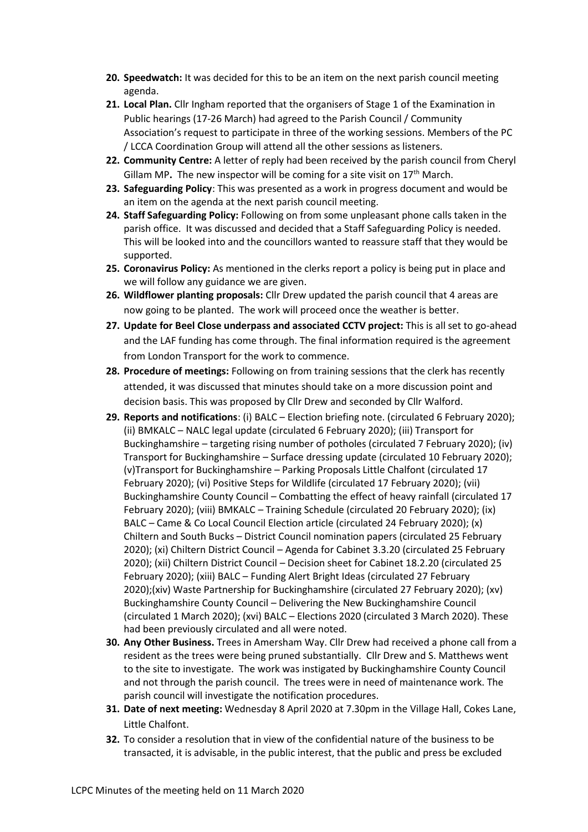- **20. Speedwatch:** It was decided for this to be an item on the next parish council meeting agenda.
- **21. Local Plan.** Cllr Ingham reported that the organisers of Stage 1 of the Examination in Public hearings (17-26 March) had agreed to the Parish Council / Community Association's request to participate in three of the working sessions. Members of the PC / LCCA Coordination Group will attend all the other sessions as listeners.
- **22. Community Centre:** A letter of reply had been received by the parish council from Cheryl Gillam MP. The new inspector will be coming for a site visit on 17<sup>th</sup> March.
- **23. Safeguarding Policy**: This was presented as a work in progress document and would be an item on the agenda at the next parish council meeting.
- **24. Staff Safeguarding Policy:** Following on from some unpleasant phone calls taken in the parish office. It was discussed and decided that a Staff Safeguarding Policy is needed. This will be looked into and the councillors wanted to reassure staff that they would be supported.
- **25. Coronavirus Policy:** As mentioned in the clerks report a policy is being put in place and we will follow any guidance we are given.
- **26. Wildflower planting proposals:** Cllr Drew updated the parish council that 4 areas are now going to be planted. The work will proceed once the weather is better.
- **27. Update for Beel Close underpass and associated CCTV project:** This is all set to go-ahead and the LAF funding has come through. The final information required is the agreement from London Transport for the work to commence.
- **28. Procedure of meetings:** Following on from training sessions that the clerk has recently attended, it was discussed that minutes should take on a more discussion point and decision basis. This was proposed by Cllr Drew and seconded by Cllr Walford.
- **29. Reports and notifications**: (i) BALC Election briefing note. (circulated 6 February 2020); (ii) BMKALC – NALC legal update (circulated 6 February 2020); (iii) Transport for Buckinghamshire – targeting rising number of potholes (circulated 7 February 2020); (iv) Transport for Buckinghamshire – Surface dressing update (circulated 10 February 2020); (v)Transport for Buckinghamshire – Parking Proposals Little Chalfont (circulated 17 February 2020); (vi) Positive Steps for Wildlife (circulated 17 February 2020); (vii) Buckinghamshire County Council – Combatting the effect of heavy rainfall (circulated 17 February 2020); (viii) BMKALC – Training Schedule (circulated 20 February 2020); (ix) BALC – Came & Co Local Council Election article (circulated 24 February 2020); (x) Chiltern and South Bucks – District Council nomination papers (circulated 25 February 2020); (xi) Chiltern District Council – Agenda for Cabinet 3.3.20 (circulated 25 February 2020); (xii) Chiltern District Council – Decision sheet for Cabinet 18.2.20 (circulated 25 February 2020); (xiii) BALC – Funding Alert Bright Ideas (circulated 27 February 2020);(xiv) Waste Partnership for Buckinghamshire (circulated 27 February 2020); (xv) Buckinghamshire County Council – Delivering the New Buckinghamshire Council (circulated 1 March 2020); (xvi) BALC – Elections 2020 (circulated 3 March 2020). These had been previously circulated and all were noted.
- **30. Any Other Business.** Trees in Amersham Way. Cllr Drew had received a phone call from a resident as the trees were being pruned substantially. Cllr Drew and S. Matthews went to the site to investigate. The work was instigated by Buckinghamshire County Council and not through the parish council. The trees were in need of maintenance work. The parish council will investigate the notification procedures.
- **31. Date of next meeting:** Wednesday 8 April 2020 at 7.30pm in the Village Hall, Cokes Lane, Little Chalfont.
- **32.** To consider a resolution that in view of the confidential nature of the business to be transacted, it is advisable, in the public interest, that the public and press be excluded